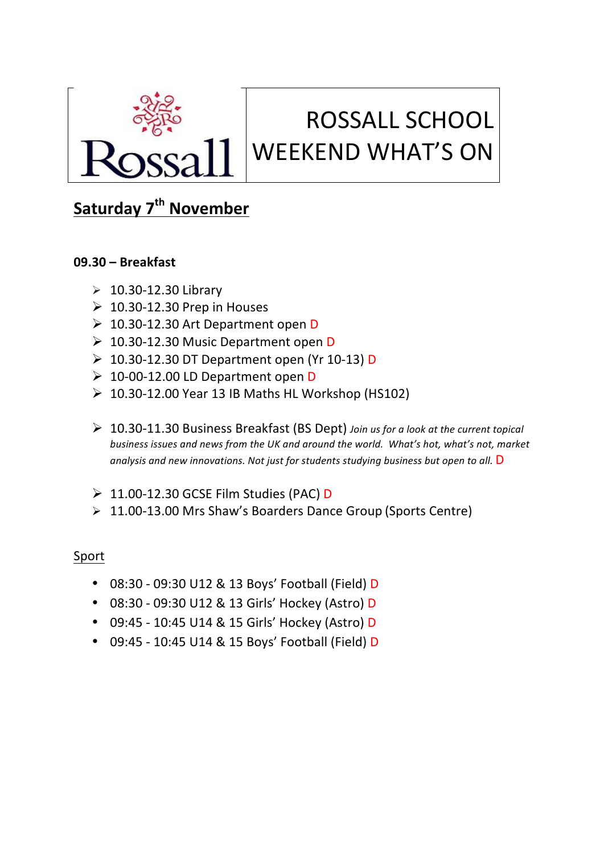

# ROSSALL SCHOOL WEEKEND WHAT'S ON

## **Saturday 7<sup>th</sup> November**

#### **09.30 – Breakfast**

- $\geq 10.30 12.30$  Library
- $\geq 10.30 12.30$  Prep in Houses
- $\geq 10.30$ -12.30 Art Department open D
- $\geq 10.30$ -12.30 Music Department open D
- $\geq 10.30$ -12.30 DT Department open (Yr 10-13) D
- $\geq 10$ -00-12.00 LD Department open D
- $\geq 10.30 12.00$  Year 13 IB Maths HL Workshop (HS102)
- Ø 10.30-11.30 Business Breakfast (BS Dept) *Join us for a look at the current topical business issues and news from the UK and around the world. What's hot, what's not, market* analysis and new innovations. Not just for students studying business but open to all. D
- $\geq 11.00$ -12.30 GCSE Film Studies (PAC) D
- $\geq 11.00-13.00$  Mrs Shaw's Boarders Dance Group (Sports Centre)

#### Sport

- 08:30 09:30 U12 & 13 Boys' Football (Field) D
- 08:30 09:30 U12 & 13 Girls' Hockey (Astro) D
- 09:45 10:45 U14 & 15 Girls' Hockey (Astro) D
- 09:45 10:45 U14 & 15 Boys' Football (Field) D